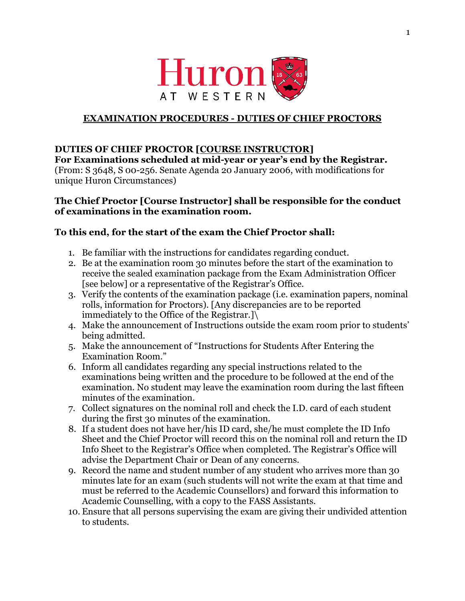

## **EXAMINATION PROCEDURES - DUTIES OF CHIEF PROCTORS**

## **DUTIES OF CHIEF PROCTOR [COURSE INSTRUCTOR]**

**For Examinations scheduled at mid-year or year's end by the Registrar.** (From: S 3648, S 00-256. Senate Agenda 20 January 2006, with modifications for unique Huron Circumstances)

### **The Chief Proctor [Course Instructor] shall be responsible for the conduct of examinations in the examination room.**

## **To this end, for the start of the exam the Chief Proctor shall:**

- 1. Be familiar with the instructions for candidates regarding conduct.
- 2. Be at the examination room 30 minutes before the start of the examination to receive the sealed examination package from the Exam Administration Officer [see below] or a representative of the Registrar's Office.
- 3. Verify the contents of the examination package (i.e. examination papers, nominal rolls, information for Proctors). [Any discrepancies are to be reported immediately to the Office of the Registrar.]\
- 4. Make the announcement of Instructions outside the exam room prior to students' being admitted.
- 5. Make the announcement of "Instructions for Students After Entering the Examination Room."
- 6. Inform all candidates regarding any special instructions related to the examinations being written and the procedure to be followed at the end of the examination. No student may leave the examination room during the last fifteen minutes of the examination.
- 7. Collect signatures on the nominal roll and check the I.D. card of each student during the first 30 minutes of the examination.
- 8. If a student does not have her/his ID card, she/he must complete the ID Info Sheet and the Chief Proctor will record this on the nominal roll and return the ID Info Sheet to the Registrar's Office when completed. The Registrar's Office will advise the Department Chair or Dean of any concerns.
- 9. Record the name and student number of any student who arrives more than 30 minutes late for an exam (such students will not write the exam at that time and must be referred to the Academic Counsellors) and forward this information to Academic Counselling, with a copy to the FASS Assistants.
- 10. Ensure that all persons supervising the exam are giving their undivided attention to students.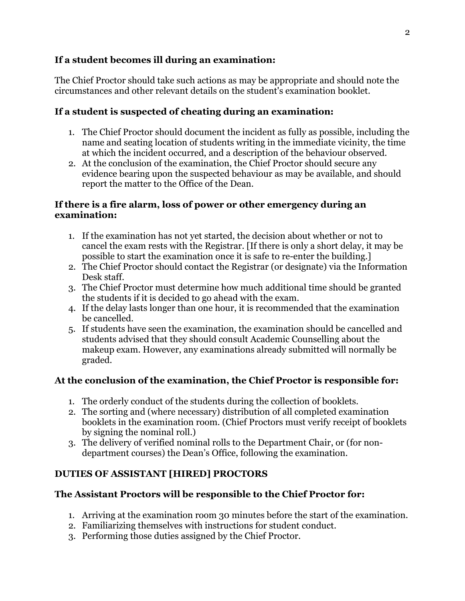## **If a student becomes ill during an examination:**

The Chief Proctor should take such actions as may be appropriate and should note the circumstances and other relevant details on the student's examination booklet.

## **If a student is suspected of cheating during an examination:**

- 1. The Chief Proctor should document the incident as fully as possible, including the name and seating location of students writing in the immediate vicinity, the time at which the incident occurred, and a description of the behaviour observed.
- 2. At the conclusion of the examination, the Chief Proctor should secure any evidence bearing upon the suspected behaviour as may be available, and should report the matter to the Office of the Dean.

## **If there is a fire alarm, loss of power or other emergency during an examination:**

- 1. If the examination has not yet started, the decision about whether or not to cancel the exam rests with the Registrar. [If there is only a short delay, it may be possible to start the examination once it is safe to re-enter the building.]
- 2. The Chief Proctor should contact the Registrar (or designate) via the Information Desk staff.
- 3. The Chief Proctor must determine how much additional time should be granted the students if it is decided to go ahead with the exam.
- 4. If the delay lasts longer than one hour, it is recommended that the examination be cancelled.
- 5. If students have seen the examination, the examination should be cancelled and students advised that they should consult Academic Counselling about the makeup exam. However, any examinations already submitted will normally be graded.

## **At the conclusion of the examination, the Chief Proctor is responsible for:**

- 1. The orderly conduct of the students during the collection of booklets.
- 2. The sorting and (where necessary) distribution of all completed examination booklets in the examination room. (Chief Proctors must verify receipt of booklets by signing the nominal roll.)
- 3. The delivery of verified nominal rolls to the Department Chair, or (for nondepartment courses) the Dean's Office, following the examination.

# **DUTIES OF ASSISTANT [HIRED] PROCTORS**

## **The Assistant Proctors will be responsible to the Chief Proctor for:**

- 1. Arriving at the examination room 30 minutes before the start of the examination.
- 2. Familiarizing themselves with instructions for student conduct.
- 3. Performing those duties assigned by the Chief Proctor.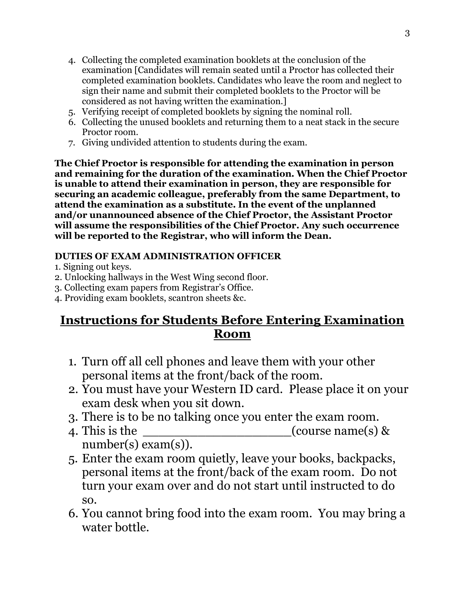- 4. Collecting the completed examination booklets at the conclusion of the examination [Candidates will remain seated until a Proctor has collected their completed examination booklets. Candidates who leave the room and neglect to sign their name and submit their completed booklets to the Proctor will be considered as not having written the examination.]
- 5. Verifying receipt of completed booklets by signing the nominal roll.
- 6. Collecting the unused booklets and returning them to a neat stack in the secure Proctor room.
- 7. Giving undivided attention to students during the exam.

**The Chief Proctor is responsible for attending the examination in person and remaining for the duration of the examination. When the Chief Proctor is unable to attend their examination in person, they are responsible for securing an academic colleague, preferably from the same Department, to attend the examination as a substitute. In the event of the unplanned and/or unannounced absence of the Chief Proctor, the Assistant Proctor will assume the responsibilities of the Chief Proctor. Any such occurrence will be reported to the Registrar, who will inform the Dean.**

## **DUTIES OF EXAM ADMINISTRATION OFFICER**

1. Signing out keys.

- 2. Unlocking hallways in the West Wing second floor.
- 3. Collecting exam papers from Registrar's Office.
- 4. Providing exam booklets, scantron sheets &c.

# **Instructions for Students Before Entering Examination Room**

- 1. Turn off all cell phones and leave them with your other personal items at the front/back of the room.
- 2. You must have your Western ID card. Please place it on your exam desk when you sit down.
- 3. There is to be no talking once you enter the exam room.
- 4. This is the  $(\text{course name(s)} \&$ number(s) exam(s)).
- 5. Enter the exam room quietly, leave your books, backpacks, personal items at the front/back of the exam room. Do not turn your exam over and do not start until instructed to do so.
- 6. You cannot bring food into the exam room. You may bring a water bottle.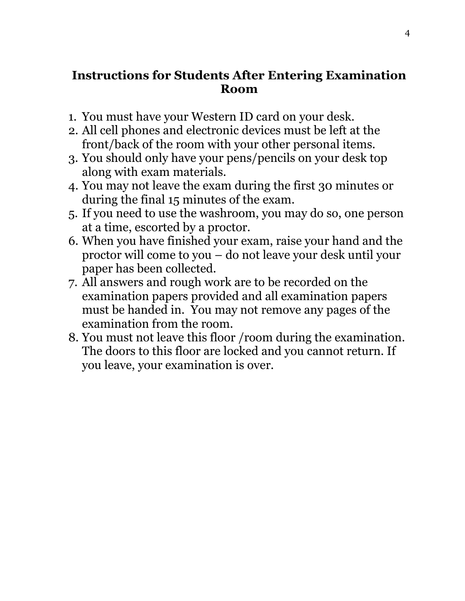# **Instructions for Students After Entering Examination Room**

- 1. You must have your Western ID card on your desk.
- 2. All cell phones and electronic devices must be left at the front/back of the room with your other personal items.
- 3. You should only have your pens/pencils on your desk top along with exam materials.
- 4. You may not leave the exam during the first 30 minutes or during the final 15 minutes of the exam.
- 5. If you need to use the washroom, you may do so, one person at a time, escorted by a proctor.
- 6. When you have finished your exam, raise your hand and the proctor will come to you – do not leave your desk until your paper has been collected.
- 7. All answers and rough work are to be recorded on the examination papers provided and all examination papers must be handed in. You may not remove any pages of the examination from the room.
- 8. You must not leave this floor /room during the examination. The doors to this floor are locked and you cannot return. If you leave, your examination is over.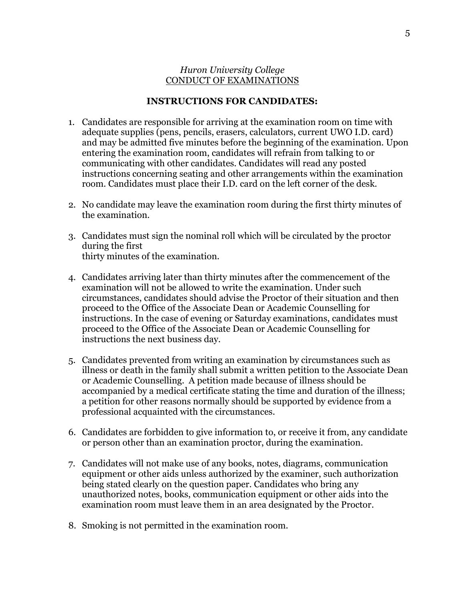#### *Huron University College* CONDUCT OF EXAMINATIONS

#### **INSTRUCTIONS FOR CANDIDATES:**

- 1. Candidates are responsible for arriving at the examination room on time with adequate supplies (pens, pencils, erasers, calculators, current UWO I.D. card) and may be admitted five minutes before the beginning of the examination. Upon entering the examination room, candidates will refrain from talking to or communicating with other candidates. Candidates will read any posted instructions concerning seating and other arrangements within the examination room. Candidates must place their I.D. card on the left corner of the desk.
- 2. No candidate may leave the examination room during the first thirty minutes of the examination.
- 3. Candidates must sign the nominal roll which will be circulated by the proctor during the first thirty minutes of the examination.
- 4. Candidates arriving later than thirty minutes after the commencement of the examination will not be allowed to write the examination. Under such circumstances, candidates should advise the Proctor of their situation and then proceed to the Office of the Associate Dean or Academic Counselling for instructions. In the case of evening or Saturday examinations, candidates must proceed to the Office of the Associate Dean or Academic Counselling for instructions the next business day.
- 5. Candidates prevented from writing an examination by circumstances such as illness or death in the family shall submit a written petition to the Associate Dean or Academic Counselling. A petition made because of illness should be accompanied by a medical certificate stating the time and duration of the illness; a petition for other reasons normally should be supported by evidence from a professional acquainted with the circumstances.
- 6. Candidates are forbidden to give information to, or receive it from, any candidate or person other than an examination proctor, during the examination.
- 7. Candidates will not make use of any books, notes, diagrams, communication equipment or other aids unless authorized by the examiner, such authorization being stated clearly on the question paper. Candidates who bring any unauthorized notes, books, communication equipment or other aids into the examination room must leave them in an area designated by the Proctor.
- 8. Smoking is not permitted in the examination room.